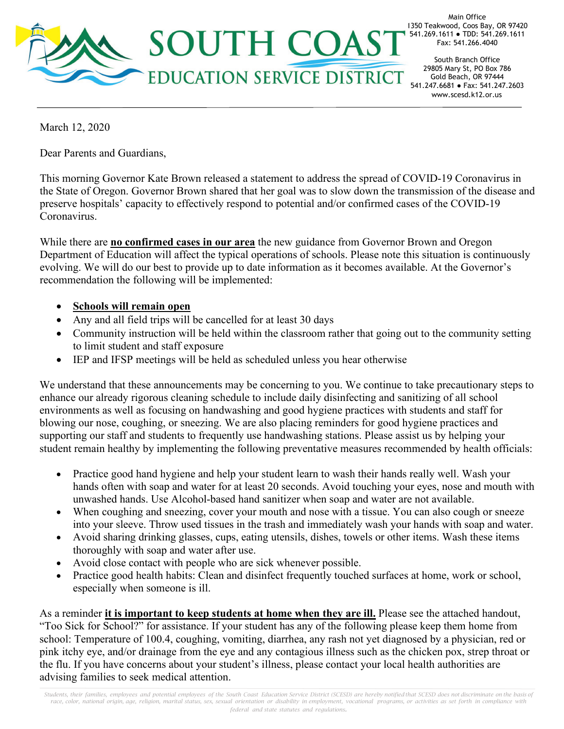

Main Office 1350 Teakwood, Coos Bay, OR 97420 541.269.1611 ● TDD: 541.269.1611 Fax: 541.266.4040

South Branch Office 29805 Mary St, PO Box 786 Gold Beach, OR 97444 541.247.6681 ● Fax: 541.247.2603 www.scesd.k12.or.us

March 12, 2020

Dear Parents and Guardians,

This morning Governor Kate Brown released a statement to address the spread of COVID-19 Coronavirus in the State of Oregon. Governor Brown shared that her goal was to slow down the transmission of the disease and preserve hospitals' capacity to effectively respond to potential and/or confirmed cases of the COVID-19 Coronavirus.

While there are **no confirmed cases in our area** the new guidance from Governor Brown and Oregon Department of Education will affect the typical operations of schools. Please note this situation is continuously evolving. We will do our best to provide up to date information as it becomes available. At the Governor's recommendation the following will be implemented:

- **Schools will remain open**
- Any and all field trips will be cancelled for at least 30 days
- Community instruction will be held within the classroom rather that going out to the community setting to limit student and staff exposure
- IEP and IFSP meetings will be held as scheduled unless you hear otherwise

We understand that these announcements may be concerning to you. We continue to take precautionary steps to enhance our already rigorous cleaning schedule to include daily disinfecting and sanitizing of all school environments as well as focusing on handwashing and good hygiene practices with students and staff for blowing our nose, coughing, or sneezing. We are also placing reminders for good hygiene practices and supporting our staff and students to frequently use handwashing stations. Please assist us by helping your student remain healthy by implementing the following preventative measures recommended by health officials:

- Practice good hand hygiene and help your student learn to wash their hands really well. Wash your hands often with soap and water for at least 20 seconds. Avoid touching your eyes, nose and mouth with unwashed hands. Use Alcohol-based hand sanitizer when soap and water are not available.
- When coughing and sneezing, cover your mouth and nose with a tissue. You can also cough or sneeze into your sleeve. Throw used tissues in the trash and immediately wash your hands with soap and water.
- Avoid sharing drinking glasses, cups, eating utensils, dishes, towels or other items. Wash these items thoroughly with soap and water after use.
- Avoid close contact with people who are sick whenever possible.
- Practice good health habits: Clean and disinfect frequently touched surfaces at home, work or school, especially when someone is ill.

As a reminder **it is important to keep students at home when they are ill.** Please see the attached handout, "Too Sick for School?" for assistance. If your student has any of the following please keep them home from school: Temperature of 100.4, coughing, vomiting, diarrhea, any rash not yet diagnosed by a physician, red or pink itchy eye, and/or drainage from the eye and any contagious illness such as the chicken pox, strep throat or the flu. If you have concerns about your student's illness, please contact your local health authorities are advising families to seek medical attention.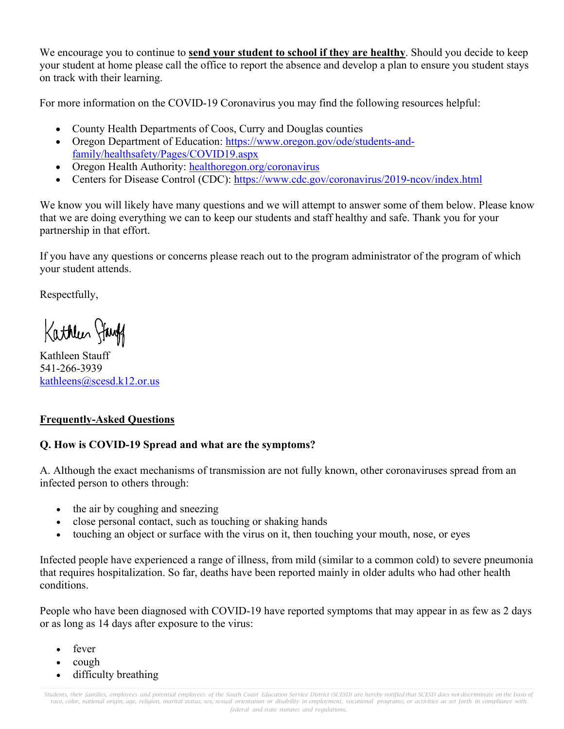We encourage you to continue to **send your student to school if they are healthy**. Should you decide to keep your student at home please call the office to report the absence and develop a plan to ensure you student stays on track with their learning.

For more information on the COVID-19 Coronavirus you may find the following resources helpful:

- County Health Departments of Coos, Curry and Douglas counties
- Oregon Department of Education: [https://www.oregon.gov/ode/students-and](https://www.oregon.gov/ode/students-and-family/healthsafety/Pages/COVID19.aspx)[family/healthsafety/Pages/COVID19.aspx](https://www.oregon.gov/ode/students-and-family/healthsafety/Pages/COVID19.aspx)
- Oregon Health Authority: [healthoregon.org/coronavirus](https://lnks.gd/l/eyJhbGciOiJIUzI1NiJ9.eyJidWxsZXRpbl9saW5rX2lkIjoxMDIsInVyaSI6ImJwMjpjbGljayIsImJ1bGxldGluX2lkIjoiMjAyMDAyMjkuMTc5ODcwMDEiLCJ1cmwiOiJodHRwOi8vaGVhbHRob3JlZ29uLm9yZy9jb3JvbmF2aXJ1cyJ9.P7BvLBTTVibMDiIYM7H09QQAzaeMl8FCjqLS6kOINrE/br/755502655)
- Centers for Disease Control (CDC):<https://www.cdc.gov/coronavirus/2019-ncov/index.html>

We know you will likely have many questions and we will attempt to answer some of them below. Please know that we are doing everything we can to keep our students and staff healthy and safe. Thank you for your partnership in that effort.

If you have any questions or concerns please reach out to the program administrator of the program of which your student attends.

Respectfully,

Kathleen Flangy

Kathleen Stauff 541-266-3939 [kathleens@scesd.k12.or.us](mailto:kathleens@scesd.k12.or.us)

# **Frequently-Asked Questions**

# **Q. How is COVID-19 Spread and what are the symptoms?**

A. Although the exact mechanisms of transmission are not fully known, other coronaviruses spread from an infected person to others through:

- the air by coughing and sneezing
- close personal contact, such as touching or shaking hands
- touching an object or surface with the virus on it, then touching your mouth, nose, or eyes

Infected people have experienced a range of illness, from mild (similar to a common cold) to severe pneumonia that requires hospitalization. So far, deaths have been reported mainly in older adults who had other health conditions.

People who have been diagnosed with COVID-19 have reported symptoms that may appear in as few as 2 days or as long as 14 days after exposure to the virus:

- fever
- cough
- difficulty breathing